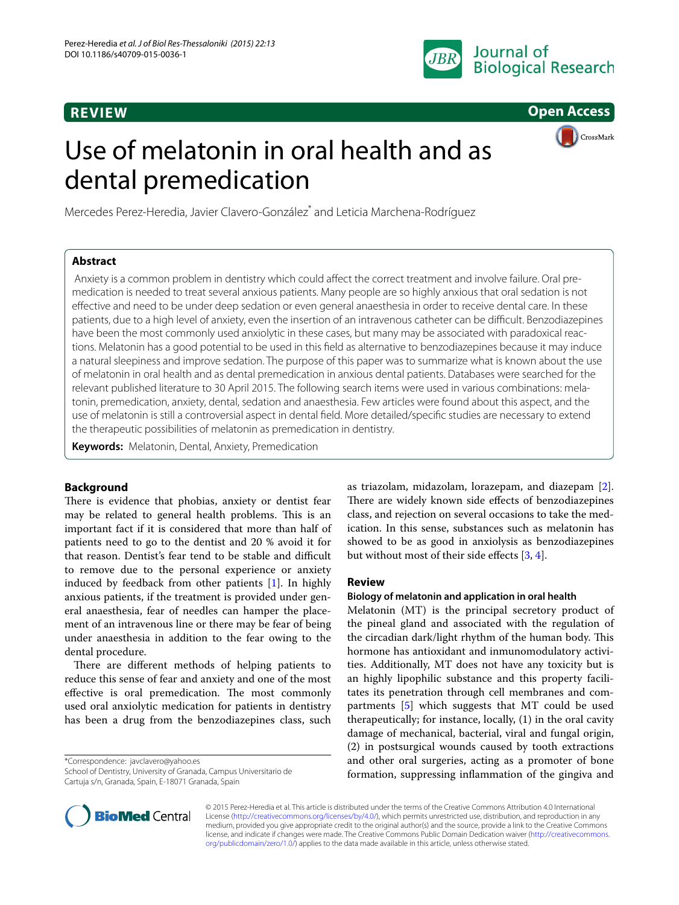## **REVIEW**



**CrossMark** 

**Open Access**

# Use of melatonin in oral health and as dental premedication

Mercedes Perez-Heredia, Javier Clavero-González<sup>\*</sup> and Leticia Marchena-Rodríguez

## **Abstract**

 Anxiety is a common problem in dentistry which could affect the correct treatment and involve failure. Oral pre‑ medication is needed to treat several anxious patients. Many people are so highly anxious that oral sedation is not effective and need to be under deep sedation or even general anaesthesia in order to receive dental care. In these patients, due to a high level of anxiety, even the insertion of an intravenous catheter can be difficult. Benzodiazepines have been the most commonly used anxiolytic in these cases, but many may be associated with paradoxical reactions. Melatonin has a good potential to be used in this field as alternative to benzodiazepines because it may induce a natural sleepiness and improve sedation. The purpose of this paper was to summarize what is known about the use of melatonin in oral health and as dental premedication in anxious dental patients. Databases were searched for the relevant published literature to 30 April 2015. The following search items were used in various combinations: mela‑ tonin, premedication, anxiety, dental, sedation and anaesthesia. Few articles were found about this aspect, and the use of melatonin is still a controversial aspect in dental field. More detailed/specific studies are necessary to extend the therapeutic possibilities of melatonin as premedication in dentistry.

**Keywords:** Melatonin, Dental, Anxiety, Premedication

## **Background**

There is evidence that phobias, anxiety or dentist fear may be related to general health problems. This is an important fact if it is considered that more than half of patients need to go to the dentist and 20 % avoid it for that reason. Dentist's fear tend to be stable and difficult to remove due to the personal experience or anxiety induced by feedback from other patients [[1\]](#page-2-0). In highly anxious patients, if the treatment is provided under general anaesthesia, fear of needles can hamper the placement of an intravenous line or there may be fear of being under anaesthesia in addition to the fear owing to the dental procedure.

There are different methods of helping patients to reduce this sense of fear and anxiety and one of the most effective is oral premedication. The most commonly used oral anxiolytic medication for patients in dentistry has been a drug from the benzodiazepines class, such

\*Correspondence: javclavero@yahoo.es

School of Dentistry, University of Granada, Campus Universitario de Cartuja s/n, Granada, Spain, E‑18071 Granada, Spain

as triazolam, midazolam, lorazepam, and diazepam [\[2](#page-2-1)]. There are widely known side effects of benzodiazepines class, and rejection on several occasions to take the medication. In this sense, substances such as melatonin has showed to be as good in anxiolysis as benzodiazepines but without most of their side effects [\[3](#page-2-2), [4\]](#page-2-3).

## **Review**

## **Biology of melatonin and application in oral health**

Melatonin (MT) is the principal secretory product of the pineal gland and associated with the regulation of the circadian dark/light rhythm of the human body. This hormone has antioxidant and inmunomodulatory activities. Additionally, MT does not have any toxicity but is an highly lipophilic substance and this property facilitates its penetration through cell membranes and compartments [[5\]](#page-2-4) which suggests that MT could be used therapeutically; for instance, locally, (1) in the oral cavity damage of mechanical, bacterial, viral and fungal origin, (2) in postsurgical wounds caused by tooth extractions and other oral surgeries, acting as a promoter of bone formation, suppressing inflammation of the gingiva and



© 2015 Perez-Heredia et al. This article is distributed under the terms of the Creative Commons Attribution 4.0 International License (<http://creativecommons.org/licenses/by/4.0/>), which permits unrestricted use, distribution, and reproduction in any medium, provided you give appropriate credit to the original author(s) and the source, provide a link to the Creative Commons license, and indicate if changes were made. The Creative Commons Public Domain Dedication waiver ([http://creativecommons.](http://creativecommons.org/publicdomain/zero/1.0/) [org/publicdomain/zero/1.0/](http://creativecommons.org/publicdomain/zero/1.0/)) applies to the data made available in this article, unless otherwise stated.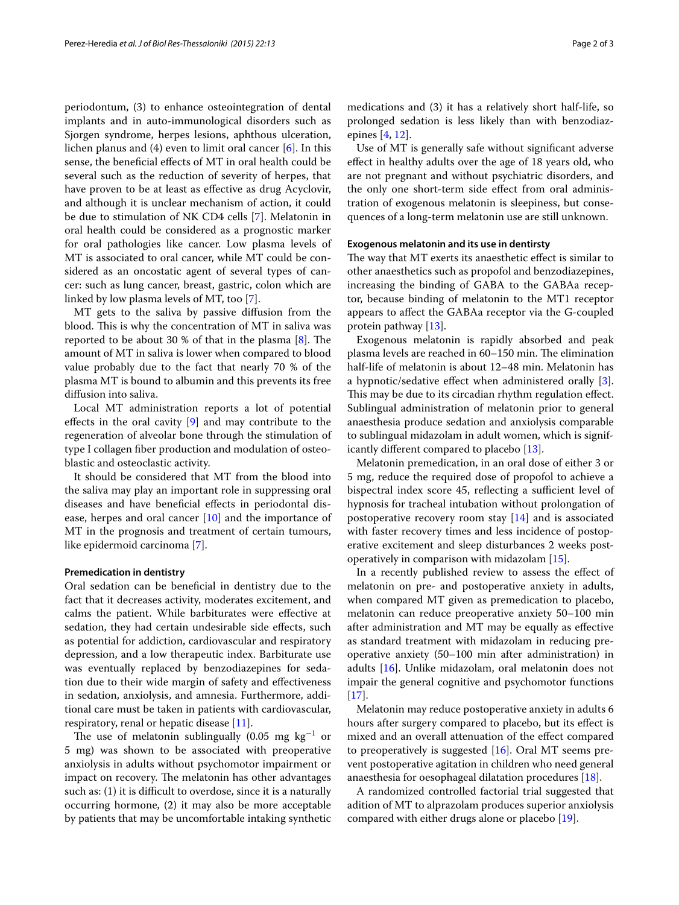periodontum, (3) to enhance osteointegration of dental implants and in auto-immunological disorders such as Sjorgen syndrome, herpes lesions, aphthous ulceration, lichen planus and (4) even to limit oral cancer [\[6](#page-2-5)]. In this sense, the beneficial effects of MT in oral health could be several such as the reduction of severity of herpes, that have proven to be at least as effective as drug Acyclovir, and although it is unclear mechanism of action, it could be due to stimulation of NK CD4 cells [[7](#page-2-6)]. Melatonin in oral health could be considered as a prognostic marker for oral pathologies like cancer. Low plasma levels of MT is associated to oral cancer, while MT could be considered as an oncostatic agent of several types of cancer: such as lung cancer, breast, gastric, colon which are linked by low plasma levels of MT, too [\[7](#page-2-6)].

MT gets to the saliva by passive diffusion from the blood. This is why the concentration of MT in saliva was reported to be about 30 % of that in the plasma [[8\]](#page-2-7). The amount of MT in saliva is lower when compared to blood value probably due to the fact that nearly 70 % of the plasma MT is bound to albumin and this prevents its free diffusion into saliva.

Local MT administration reports a lot of potential effects in the oral cavity [[9\]](#page-2-8) and may contribute to the regeneration of alveolar bone through the stimulation of type I collagen fiber production and modulation of osteoblastic and osteoclastic activity.

It should be considered that MT from the blood into the saliva may play an important role in suppressing oral diseases and have beneficial effects in periodontal disease, herpes and oral cancer [\[10\]](#page-2-9) and the importance of MT in the prognosis and treatment of certain tumours, like epidermoid carcinoma [[7\]](#page-2-6).

#### **Premedication in dentistry**

Oral sedation can be beneficial in dentistry due to the fact that it decreases activity, moderates excitement, and calms the patient. While barbiturates were effective at sedation, they had certain undesirable side effects, such as potential for addiction, cardiovascular and respiratory depression, and a low therapeutic index. Barbiturate use was eventually replaced by benzodiazepines for sedation due to their wide margin of safety and effectiveness in sedation, anxiolysis, and amnesia. Furthermore, additional care must be taken in patients with cardiovascular, respiratory, renal or hepatic disease [[11\]](#page-2-10).

The use of melatonin sublingually (0.05  $mg kg^{-1}$  or 5 mg) was shown to be associated with preoperative anxiolysis in adults without psychomotor impairment or impact on recovery. The melatonin has other advantages such as: (1) it is difficult to overdose, since it is a naturally occurring hormone, (2) it may also be more acceptable by patients that may be uncomfortable intaking synthetic

epines [\[4](#page-2-3), [12\]](#page-2-11). Use of MT is generally safe without significant adverse effect in healthy adults over the age of 18 years old, who are not pregnant and without psychiatric disorders, and the only one short-term side effect from oral administration of exogenous melatonin is sleepiness, but conse-

quences of a long-term melatonin use are still unknown.

#### **Exogenous melatonin and its use in dentirsty**

The way that MT exerts its anaesthetic effect is similar to other anaesthetics such as propofol and benzodiazepines, increasing the binding of GABA to the GABAa receptor, because binding of melatonin to the MT1 receptor appears to affect the GABAa receptor via the G-coupled protein pathway [\[13](#page-2-12)].

Exogenous melatonin is rapidly absorbed and peak plasma levels are reached in 60–150 min. The elimination half-life of melatonin is about 12–48 min. Melatonin has a hypnotic/sedative effect when administered orally [\[3](#page-2-2)]. This may be due to its circadian rhythm regulation effect. Sublingual administration of melatonin prior to general anaesthesia produce sedation and anxiolysis comparable to sublingual midazolam in adult women, which is significantly different compared to placebo [\[13](#page-2-12)].

Melatonin premedication, in an oral dose of either 3 or 5 mg, reduce the required dose of propofol to achieve a bispectral index score 45, reflecting a sufficient level of hypnosis for tracheal intubation without prolongation of postoperative recovery room stay  $[14]$  $[14]$  and is associated with faster recovery times and less incidence of postoperative excitement and sleep disturbances 2 weeks postoperatively in comparison with midazolam [[15\]](#page-2-14).

In a recently published review to assess the effect of melatonin on pre- and postoperative anxiety in adults, when compared MT given as premedication to placebo, melatonin can reduce preoperative anxiety 50–100 min after administration and MT may be equally as effective as standard treatment with midazolam in reducing preoperative anxiety (50–100 min after administration) in adults [\[16](#page-2-15)]. Unlike midazolam, oral melatonin does not impair the general cognitive and psychomotor functions  $[17]$  $[17]$ .

Melatonin may reduce postoperative anxiety in adults 6 hours after surgery compared to placebo, but its effect is mixed and an overall attenuation of the effect compared to preoperatively is suggested  $[16]$  $[16]$ . Oral MT seems prevent postoperative agitation in children who need general anaesthesia for oesophageal dilatation procedures [\[18\]](#page-2-17).

A randomized controlled factorial trial suggested that adition of MT to alprazolam produces superior anxiolysis compared with either drugs alone or placebo [[19\]](#page-2-18).